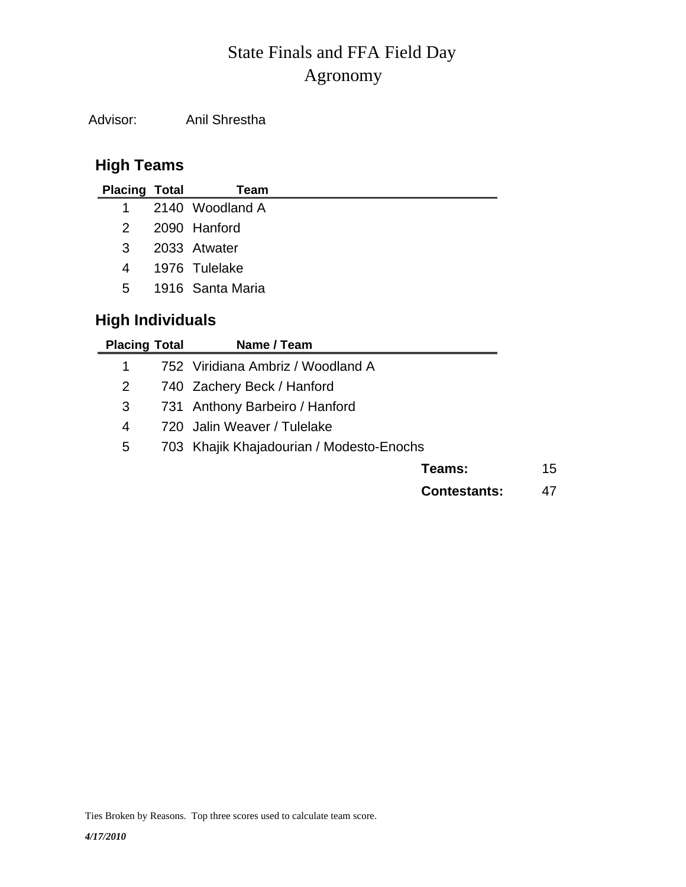# Agronomy State Finals and FFA Field Day

Advisor: Anil Shrestha

## **High Teams**

| <b>Placing Total</b>    | Team                              |
|-------------------------|-----------------------------------|
| 1                       | 2140 Woodland A                   |
| 2                       | 2090 Hanford                      |
| 3                       | 2033 Atwater                      |
| 4                       | 1976 Tulelake                     |
| 5.                      | 1916 Santa Maria                  |
| <b>High Individuals</b> |                                   |
| <b>Placing Total</b>    | Name / Team                       |
| 1                       | 752 Viridiana Ambriz / Woodland A |
| $\overline{2}$          | 740 Zachery Beck / Hanford        |

- 3 731 Anthony Barbeiro / Hanford
- 4 720 Jalin Weaver / Tulelake
- 5 703 Khajik Khajadourian / Modesto-Enochs

**Teams:** 15

**Contestants:** 47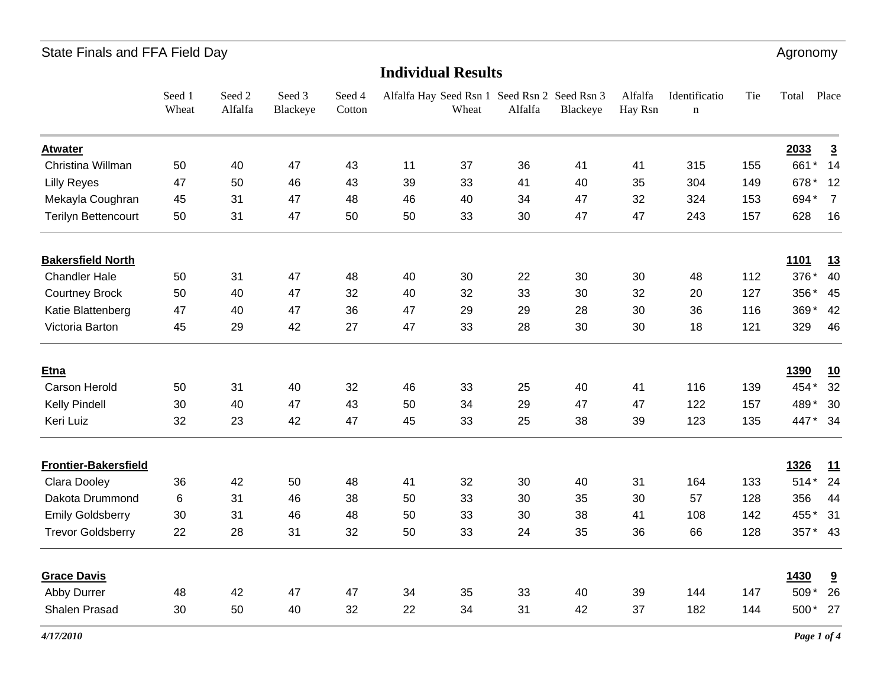# State Finals and FFA Field Day **Agronomy** 3. The state of the state of the state of the state of the state of the state of the state of the state of the state of the state of the state of the state of the state of the stat

### **Individual Results**

|                             | Seed 1<br>Wheat | Seed 2<br>Alfalfa | Seed 3<br>Blackeye | Seed 4<br>Cotton |    | Wheat | Alfalfa Hay Seed Rsn 1 Seed Rsn 2 Seed Rsn 3<br>Alfalfa | Blackeye | Alfalfa<br>Hay Rsn | Identificatio<br>$\mathbf n$ | Tie | Total       | Place                   |
|-----------------------------|-----------------|-------------------|--------------------|------------------|----|-------|---------------------------------------------------------|----------|--------------------|------------------------------|-----|-------------|-------------------------|
| <b>Atwater</b>              |                 |                   |                    |                  |    |       |                                                         |          |                    |                              |     | 2033        | $\overline{3}$          |
| Christina Willman           | 50              | 40                | 47                 | 43               | 11 | 37    | 36                                                      | 41       | 41                 | 315                          | 155 | 661*        | 14                      |
| <b>Lilly Reyes</b>          | 47              | 50                | 46                 | 43               | 39 | 33    | 41                                                      | 40       | 35                 | 304                          | 149 | 678*        | 12                      |
| Mekayla Coughran            | 45              | 31                | 47                 | 48               | 46 | 40    | 34                                                      | 47       | 32                 | 324                          | 153 | 694*        | $\overline{7}$          |
| <b>Terilyn Bettencourt</b>  | 50              | 31                | 47                 | 50               | 50 | 33    | 30                                                      | 47       | 47                 | 243                          | 157 | 628         | 16                      |
| <b>Bakersfield North</b>    |                 |                   |                    |                  |    |       |                                                         |          |                    |                              |     | <u>1101</u> | 13                      |
| <b>Chandler Hale</b>        | 50              | 31                | 47                 | 48               | 40 | 30    | 22                                                      | 30       | 30                 | 48                           | 112 | 376*        | 40                      |
| <b>Courtney Brock</b>       | 50              | 40                | 47                 | 32               | 40 | 32    | 33                                                      | 30       | 32                 | 20                           | 127 | 356*        | 45                      |
| Katie Blattenberg           | 47              | 40                | 47                 | 36               | 47 | 29    | 29                                                      | 28       | 30                 | 36                           | 116 | 369*        | 42                      |
| Victoria Barton             | 45              | 29                | 42                 | 27               | 47 | 33    | 28                                                      | 30       | 30                 | 18                           | 121 | 329         | 46                      |
| Etna                        |                 |                   |                    |                  |    |       |                                                         |          |                    |                              |     | <b>1390</b> | <u>10</u>               |
| <b>Carson Herold</b>        | 50              | 31                | 40                 | 32               | 46 | 33    | 25                                                      | 40       | 41                 | 116                          | 139 | 454*        | 32                      |
| Kelly Pindell               | 30              | 40                | 47                 | 43               | 50 | 34    | 29                                                      | 47       | 47                 | 122                          | 157 | 489*        | 30                      |
| Keri Luiz                   | 32              | 23                | 42                 | 47               | 45 | 33    | 25                                                      | 38       | 39                 | 123                          | 135 | 447* 34     |                         |
| <b>Frontier-Bakersfield</b> |                 |                   |                    |                  |    |       |                                                         |          |                    |                              |     | 1326        | 11                      |
| Clara Dooley                | 36              | 42                | 50                 | 48               | 41 | 32    | 30                                                      | 40       | 31                 | 164                          | 133 | $514*$      | 24                      |
| Dakota Drummond             | 6               | 31                | 46                 | 38               | 50 | 33    | 30                                                      | 35       | 30                 | 57                           | 128 | 356         | 44                      |
| <b>Emily Goldsberry</b>     | 30              | 31                | 46                 | 48               | 50 | 33    | 30                                                      | 38       | 41                 | 108                          | 142 | 455*        | 31                      |
| <b>Trevor Goldsberry</b>    | 22              | 28                | 31                 | 32               | 50 | 33    | 24                                                      | 35       | 36                 | 66                           | 128 | 357* 43     |                         |
| <b>Grace Davis</b>          |                 |                   |                    |                  |    |       |                                                         |          |                    |                              |     | 1430        | $\overline{\mathbf{a}}$ |
| Abby Durrer                 | 48              | 42                | 47                 | 47               | 34 | 35    | 33                                                      | 40       | 39                 | 144                          | 147 | 509*        | 26                      |
| Shalen Prasad               | 30              | 50                | 40                 | 32               | 22 | 34    | 31                                                      | 42       | 37                 | 182                          | 144 | 500*        | 27                      |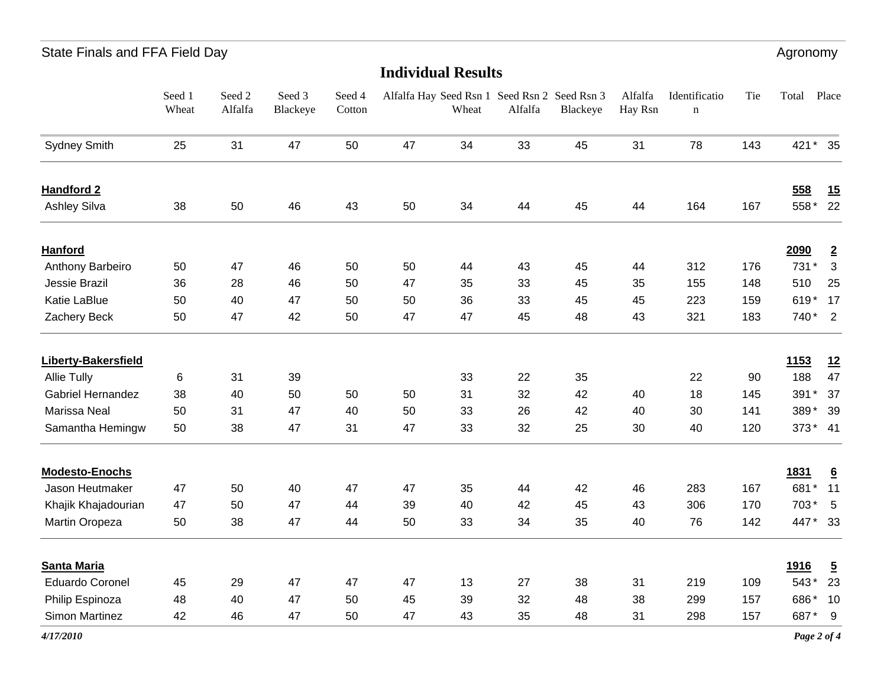Seed Rsn 3 Blackeye A<sub>10</sub> Hay Rsn IdentificationTie Total Place State Finals and FFA Field Day **Agronomy** 3. The state of the state of the state of the state of the state of the state of the state of the state of the state of the state of the state of the state of the state of the stat

|                            | Seed 1<br>Wheat | Seed 2<br>Alfalfa | Seed 3<br>Blackeye | Seed 4<br>Cotton |    | Wheat | Alfalfa Hay Seed Rsn 1 Seed Rsn 2 Seed Rsn 3<br>Alfalfa | Blackeye | Alfalfa<br>Hay Rsn | Identificatio<br>$\mathbf n$ | Tie | Total       | Place           |
|----------------------------|-----------------|-------------------|--------------------|------------------|----|-------|---------------------------------------------------------|----------|--------------------|------------------------------|-----|-------------|-----------------|
| <b>Sydney Smith</b>        | 25              | 31                | 47                 | 50               | 47 | 34    | 33                                                      | 45       | 31                 | 78                           | 143 | 421* 35     |                 |
| <b>Handford 2</b>          |                 |                   |                    |                  |    |       |                                                         |          |                    |                              |     | 558         | 15              |
| <b>Ashley Silva</b>        | 38              | 50                | 46                 | 43               | 50 | 34    | 44                                                      | 45       | 44                 | 164                          | 167 | 558*        | 22              |
| <b>Hanford</b>             |                 |                   |                    |                  |    |       |                                                         |          |                    |                              |     | 2090        | $\overline{2}$  |
| Anthony Barbeiro           | 50              | 47                | 46                 | 50               | 50 | 44    | 43                                                      | 45       | 44                 | 312                          | 176 | 731*        | $\mathbf{3}$    |
| Jessie Brazil              | 36              | 28                | 46                 | 50               | 47 | 35    | 33                                                      | 45       | 35                 | 155                          | 148 | 510         | 25              |
| Katie LaBlue               | 50              | 40                | 47                 | 50               | 50 | 36    | 33                                                      | 45       | 45                 | 223                          | 159 | 619* 17     |                 |
| Zachery Beck               | 50              | 47                | 42                 | 50               | 47 | 47    | 45                                                      | 48       | 43                 | 321                          | 183 | 740* 2      |                 |
| <b>Liberty-Bakersfield</b> |                 |                   |                    |                  |    |       |                                                         |          |                    |                              |     | 1153        | 12              |
| <b>Allie Tully</b>         | 6               | 31                | 39                 |                  |    | 33    | 22                                                      | 35       |                    | 22                           | 90  | 188         | 47              |
| Gabriel Hernandez          | 38              | 40                | 50                 | 50               | 50 | 31    | 32                                                      | 42       | 40                 | 18                           | 145 | 391*        | 37              |
| Marissa Neal               | 50              | 31                | 47                 | 40               | 50 | 33    | 26                                                      | 42       | 40                 | 30                           | 141 | 389*        | 39              |
| Samantha Hemingw           | 50              | 38                | 47                 | 31               | 47 | 33    | 32                                                      | 25       | 30                 | 40                           | 120 | 373* 41     |                 |
| <b>Modesto-Enochs</b>      |                 |                   |                    |                  |    |       |                                                         |          |                    |                              |     | <u>1831</u> | $\underline{6}$ |
| Jason Heutmaker            | 47              | 50                | 40                 | 47               | 47 | 35    | 44                                                      | 42       | 46                 | 283                          | 167 | 681*        | 11              |
| Khajik Khajadourian        | 47              | 50                | 47                 | 44               | 39 | 40    | 42                                                      | 45       | 43                 | 306                          | 170 | 703*        | $-5$            |
| Martin Oropeza             | 50              | 38                | 47                 | 44               | 50 | 33    | 34                                                      | 35       | 40                 | 76                           | 142 | 447* 33     |                 |
| <b>Santa Maria</b>         |                 |                   |                    |                  |    |       |                                                         |          |                    |                              |     | <b>1916</b> | $\overline{5}$  |
| <b>Eduardo Coronel</b>     | 45              | 29                | 47                 | 47               | 47 | 13    | 27                                                      | 38       | 31                 | 219                          | 109 | 543*        | 23              |
| Philip Espinoza            | 48              | 40                | 47                 | 50               | 45 | 39    | 32                                                      | 48       | 38                 | 299                          | 157 | 686*        | 10              |
| <b>Simon Martinez</b>      | 42              | 46                | 47                 | 50               | 47 | 43    | 35                                                      | 48       | 31                 | 298                          | 157 | 687*        | 9               |

**Individual Results**

*4/17/2010*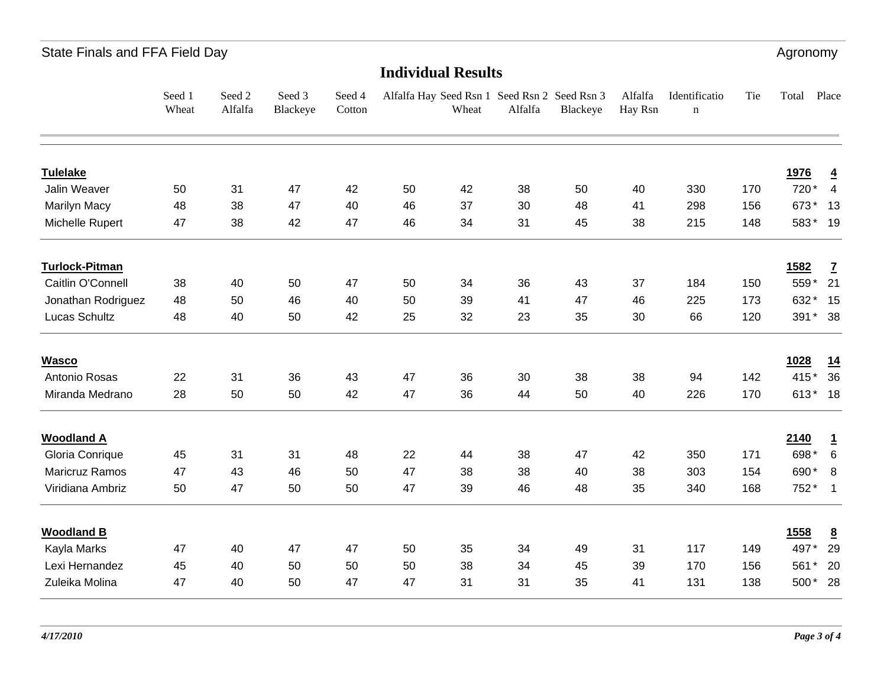State Finals and FFA Field Day **Agronomy** Agronomy

| <b>Individual Results</b> |                 |                   |                    |                  |    |       |                                                         |          |                    |                              |     |         |                          |
|---------------------------|-----------------|-------------------|--------------------|------------------|----|-------|---------------------------------------------------------|----------|--------------------|------------------------------|-----|---------|--------------------------|
|                           | Seed 1<br>Wheat | Seed 2<br>Alfalfa | Seed 3<br>Blackeye | Seed 4<br>Cotton |    | Wheat | Alfalfa Hay Seed Rsn 1 Seed Rsn 2 Seed Rsn 3<br>Alfalfa | Blackeye | Alfalfa<br>Hay Rsn | Identificatio<br>$\mathbf n$ | Tie | Total   | Place                    |
| <b>Tulelake</b>           |                 |                   |                    |                  |    |       |                                                         |          |                    |                              |     | 1976    | $\overline{4}$           |
| Jalin Weaver              | 50              | 31                | 47                 | 42               | 50 | 42    | 38                                                      | 50       | 40                 | 330                          | 170 | 720*    | $\overline{4}$           |
| <b>Marilyn Macy</b>       | 48              | 38                | 47                 | 40               | 46 | 37    | 30                                                      | 48       | 41                 | 298                          | 156 | 673*    | 13                       |
| Michelle Rupert           | 47              | 38                | 42                 | 47               | 46 | 34    | 31                                                      | 45       | 38                 | 215                          | 148 | 583* 19 |                          |
| <b>Turlock-Pitman</b>     |                 |                   |                    |                  |    |       |                                                         |          |                    |                              |     | 1582    | $\mathbf{Z}$             |
| Caitlin O'Connell         | 38              | 40                | 50                 | 47               | 50 | 34    | 36                                                      | 43       | 37                 | 184                          | 150 | 559*    | 21                       |
| Jonathan Rodriguez        | 48              | 50                | 46                 | 40               | 50 | 39    | 41                                                      | 47       | 46                 | 225                          | 173 | 632*    | 15                       |
| Lucas Schultz             | 48              | 40                | 50                 | 42               | 25 | 32    | 23                                                      | 35       | 30                 | 66                           | 120 | 391* 38 |                          |
| <b>Wasco</b>              |                 |                   |                    |                  |    |       |                                                         |          |                    |                              |     | 1028    | 14                       |
| Antonio Rosas             | 22              | 31                | 36                 | 43               | 47 | 36    | 30                                                      | 38       | 38                 | 94                           | 142 | 415*    | 36                       |
| Miranda Medrano           | 28              | 50                | 50                 | 42               | 47 | 36    | 44                                                      | 50       | 40                 | 226                          | 170 | 613* 18 |                          |
| <b>Woodland A</b>         |                 |                   |                    |                  |    |       |                                                         |          |                    |                              |     | 2140    | $\overline{1}$           |
| Gloria Conrique           | 45              | 31                | 31                 | 48               | 22 | 44    | 38                                                      | 47       | 42                 | 350                          | 171 | 698*    | 6                        |
| Maricruz Ramos            | 47              | 43                | 46                 | 50               | 47 | 38    | 38                                                      | 40       | 38                 | 303                          | 154 | 690*    | 8                        |
| Viridiana Ambriz          | 50              | 47                | 50                 | 50               | 47 | 39    | 46                                                      | 48       | 35                 | 340                          | 168 | 752*    | $\overline{\phantom{1}}$ |
| <b>Woodland B</b>         |                 |                   |                    |                  |    |       |                                                         |          |                    |                              |     | 1558    | $\overline{8}$           |
| Kayla Marks               | 47              | 40                | 47                 | 47               | 50 | 35    | 34                                                      | 49       | 31                 | 117                          | 149 | 497*    | 29                       |
| Lexi Hernandez            | 45              | 40                | 50                 | 50               | 50 | 38    | 34                                                      | 45       | 39                 | 170                          | 156 | 561*    | 20                       |
| Zuleika Molina            | 47              | 40                | 50                 | 47               | 47 | 31    | 31                                                      | 35       | 41                 | 131                          | 138 | 500* 28 |                          |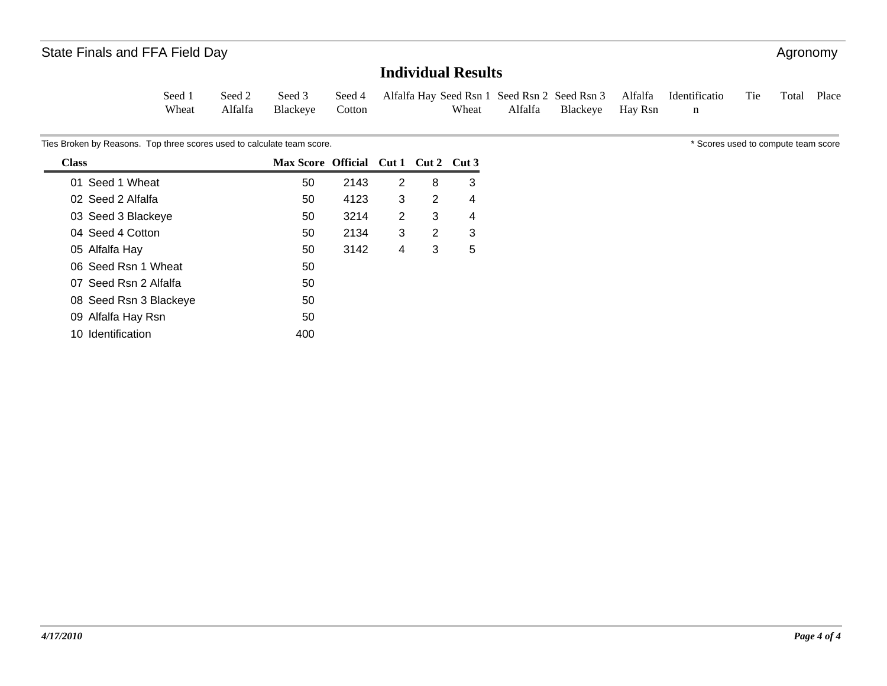### **Individual Results**

| Seed 1 |                         | Seed 2 Seed 3 Seed 4 Alfalfa Hay Seed Rsn 1 Seed Rsn 2 Seed Rsn 3 Alfalfa Identificatio Tie Total Place |                          |  |  |  |
|--------|-------------------------|---------------------------------------------------------------------------------------------------------|--------------------------|--|--|--|
| Wheat  | Alfalfa Blackeye Cotton | Wheat                                                                                                   | Alfalfa Blackeye Hay Rsn |  |  |  |

Ties Broken by Reasons. Top three scores used to calculate team score.  $\bullet$  \* Scores used to compute team score  $\bullet$  Scores used to compute team score

| 50  | 2143 | 2 | 8 | 3                                    |
|-----|------|---|---|--------------------------------------|
| 50  | 4123 | 3 | 2 | 4                                    |
| 50  | 3214 | 2 | 3 | 4                                    |
| 50  | 2134 | 3 | 2 | 3                                    |
| 50  | 3142 | 4 | 3 | 5                                    |
| 50  |      |   |   |                                      |
| 50  |      |   |   |                                      |
| 50  |      |   |   |                                      |
| 50  |      |   |   |                                      |
| 400 |      |   |   |                                      |
|     |      |   |   | Max Score Official Cut 1 Cut 2 Cut 3 |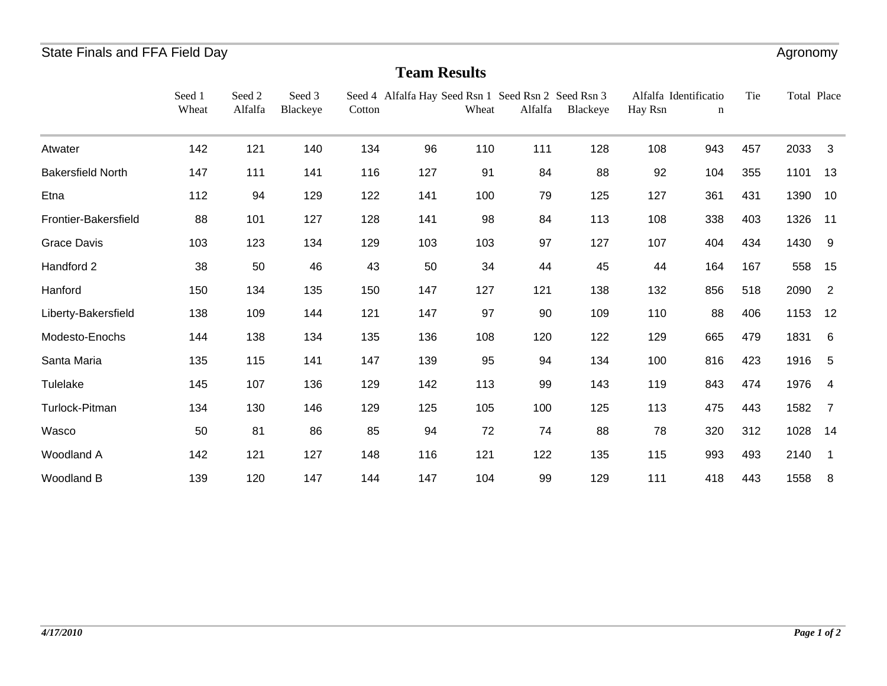### **Team Results**

|                          | Seed 1<br>Wheat | Seed 2<br>Alfalfa | Seed 3<br>Blackeye | Cotton | Seed 4 Alfalfa Hay Seed Rsn 1 Seed Rsn 2 Seed Rsn 3 | Wheat | Alfalfa | Blackeye | Alfalfa Identificatio<br>Hay Rsn | n   | Tie | Total Place |                |
|--------------------------|-----------------|-------------------|--------------------|--------|-----------------------------------------------------|-------|---------|----------|----------------------------------|-----|-----|-------------|----------------|
| Atwater                  | 142             | 121               | 140                | 134    | 96                                                  | 110   | 111     | 128      | 108                              | 943 | 457 | 2033        | 3              |
| <b>Bakersfield North</b> | 147             | 111               | 141                | 116    | 127                                                 | 91    | 84      | 88       | 92                               | 104 | 355 | 1101        | 13             |
| Etna                     | 112             | 94                | 129                | 122    | 141                                                 | 100   | 79      | 125      | 127                              | 361 | 431 | 1390        | 10             |
| Frontier-Bakersfield     | 88              | 101               | 127                | 128    | 141                                                 | 98    | 84      | 113      | 108                              | 338 | 403 | 1326        | 11             |
| <b>Grace Davis</b>       | 103             | 123               | 134                | 129    | 103                                                 | 103   | 97      | 127      | 107                              | 404 | 434 | 1430        | 9              |
| Handford 2               | 38              | 50                | 46                 | 43     | 50                                                  | 34    | 44      | 45       | 44                               | 164 | 167 | 558         | 15             |
| Hanford                  | 150             | 134               | 135                | 150    | 147                                                 | 127   | 121     | 138      | 132                              | 856 | 518 | 2090        | $\overline{2}$ |
| Liberty-Bakersfield      | 138             | 109               | 144                | 121    | 147                                                 | 97    | 90      | 109      | 110                              | 88  | 406 | 1153        | 12             |
| Modesto-Enochs           | 144             | 138               | 134                | 135    | 136                                                 | 108   | 120     | 122      | 129                              | 665 | 479 | 1831        | 6              |
| Santa Maria              | 135             | 115               | 141                | 147    | 139                                                 | 95    | 94      | 134      | 100                              | 816 | 423 | 1916        | 5              |
| Tulelake                 | 145             | 107               | 136                | 129    | 142                                                 | 113   | 99      | 143      | 119                              | 843 | 474 | 1976        | $\overline{4}$ |
| Turlock-Pitman           | 134             | 130               | 146                | 129    | 125                                                 | 105   | 100     | 125      | 113                              | 475 | 443 | 1582        | 7              |
| Wasco                    | 50              | 81                | 86                 | 85     | 94                                                  | 72    | 74      | 88       | 78                               | 320 | 312 | 1028        | 14             |
| Woodland A               | 142             | 121               | 127                | 148    | 116                                                 | 121   | 122     | 135      | 115                              | 993 | 493 | 2140        |                |
| Woodland B               | 139             | 120               | 147                | 144    | 147                                                 | 104   | 99      | 129      | 111                              | 418 | 443 | 1558        | 8              |